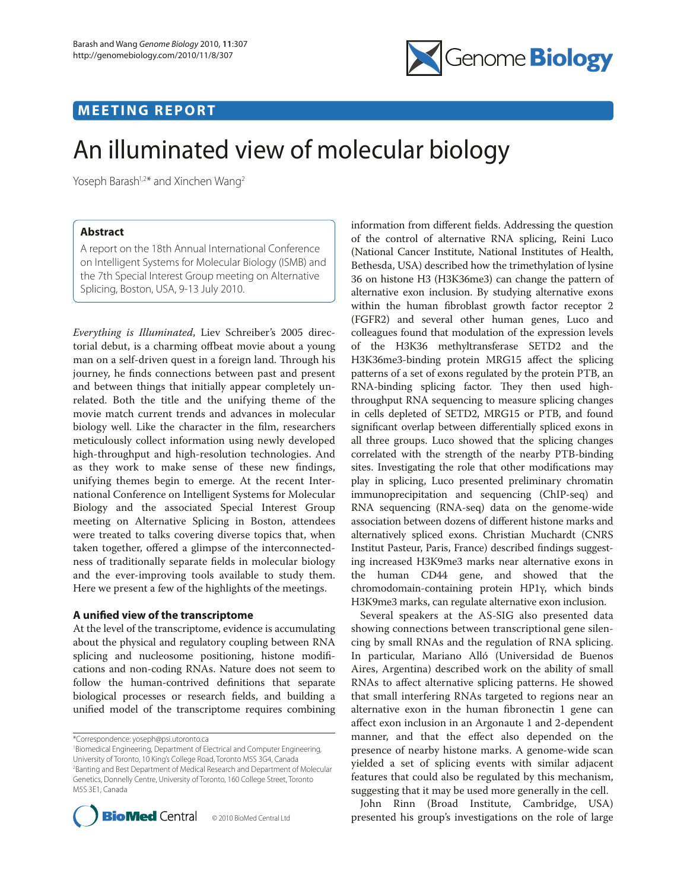

## **MEETING REPORT**

# An illuminated view of molecular biology

Yoseph Barash<sup>1,2\*</sup> and Xinchen Wang<sup>2</sup>

### **Abstract**

A report on the 18th Annual International Conference on Intelligent Systems for Molecular Biology (ISMB) and the 7th Special Interest Group meeting on Alternative Splicing, Boston, USA, 9-13 July 2010.

*Everything is Illuminated*, Liev Schreiber's 2005 directorial debut, is a charming offbeat movie about a young man on a self-driven quest in a foreign land. Through his journey, he finds connections between past and present and between things that initially appear completely unrelated. Both the title and the unifying theme of the movie match current trends and advances in molecular biology well. Like the character in the film, researchers meticulously collect information using newly developed high-throughput and high-resolution technologies. And as they work to make sense of these new findings, unifying themes begin to emerge. At the recent International Conference on Intelligent Systems for Molecular Biology and the associated Special Interest Group meeting on Alternative Splicing in Boston, attendees were treated to talks covering diverse topics that, when taken together, offered a glimpse of the interconnectedness of traditionally separate fields in molecular biology and the ever-improving tools available to study them. Here we present a few of the highlights of the meetings.

#### **A unied view of the transcriptome**

At the level of the transcriptome, evidence is accumulating about the physical and regulatory coupling between RNA splicing and nucleosome positioning, histone modifications and non-coding RNAs. Nature does not seem to follow the human-contrived definitions that separate biological processes or research fields, and building a unified model of the transcriptome requires combining

\*Correspondence: yoseph@psi.utoronto.ca

<sup>1</sup> Biomedical Engineering, Department of Electrical and Computer Engineering, University of Toronto, 10 King's College Road, Toronto M5S 3G4, Canada 2 Banting and Best Department of Medical Research and Department of Molecular Genetics, Donnelly Centre, University of Toronto, 160 College Street, Toronto M5S 3E1, Canada



information from different fields. Addressing the question of the control of alternative RNA splicing, Reini Luco (National Cancer Institute, National Institutes of Health, Bethesda, USA) described how the trimethylation of lysine 36 on histone H3 (H3K36me3) can change the pattern of alternative exon inclusion. By studying alternative exons within the human fibroblast growth factor receptor 2 (FGFR2) and several other human genes, Luco and colleagues found that modulation of the expression levels of the H3K36 methyltransferase SETD2 and the H3K36me3-binding protein MRG15 affect the splicing patterns of a set of exons regulated by the protein PTB, an RNA-binding splicing factor. They then used highthroughput RNA sequencing to measure splicing changes in cells depleted of SETD2, MRG15 or PTB, and found significant overlap between differentially spliced exons in all three groups. Luco showed that the splicing changes correlated with the strength of the nearby PTB-binding sites. Investigating the role that other modifications may play in splicing, Luco presented preliminary chromatin immunoprecipitation and sequencing (ChIP-seq) and RNA sequencing (RNA-seq) data on the genome-wide association between dozens of different histone marks and alternatively spliced exons. Christian Muchardt (CNRS Institut Pasteur, Paris, France) described findings suggesting increased H3K9me3 marks near alternative exons in the human CD44 gene, and showed that the chromodomain-containing protein HP1γ, which binds H3K9me3 marks, can regulate alternative exon inclusion.

Several speakers at the AS-SIG also presented data showing connections between transcriptional gene silencing by small RNAs and the regulation of RNA splicing. In particular, Mariano Alló (Universidad de Buenos Aires, Argentina) described work on the ability of small RNAs to affect alternative splicing patterns. He showed that small interfering RNAs targeted to regions near an alternative exon in the human fibronectin 1 gene can affect exon inclusion in an Argonaute 1 and 2-dependent manner, and that the effect also depended on the presence of nearby histone marks. A genome-wide scan yielded a set of splicing events with similar adjacent features that could also be regulated by this mechanism, suggesting that it may be used more generally in the cell.

John Rinn (Broad Institute, Cambridge, USA) presented his group's investigations on the role of large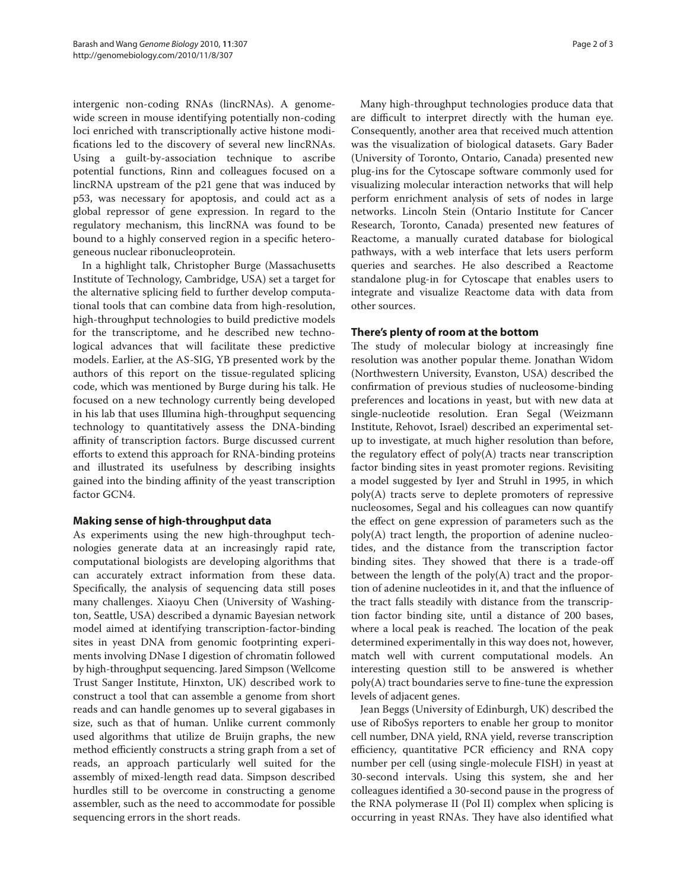intergenic non-coding RNAs (lincRNAs). A genomewide screen in mouse identifying potentially non-coding loci enriched with transcriptionally active histone modifications led to the discovery of several new lincRNAs. Using a guilt-by-association technique to ascribe potential functions, Rinn and colleagues focused on a lincRNA upstream of the p21 gene that was induced by p53, was necessary for apoptosis, and could act as a global repressor of gene expression. In regard to the regulatory mechanism, this lincRNA was found to be bound to a highly conserved region in a specific heterogeneous nuclear ribonucleoprotein.

In a highlight talk, Christopher Burge (Massachusetts Institute of Technology, Cambridge, USA) set a target for the alternative splicing field to further develop computational tools that can combine data from high-resolution, high-throughput technologies to build predictive models for the transcriptome, and he described new technological advances that will facilitate these predictive models. Earlier, at the AS-SIG, YB presented work by the authors of this report on the tissue-regulated splicing code, which was mentioned by Burge during his talk. He focused on a new technology currently being developed in his lab that uses Illumina high-throughput sequencing technology to quantitatively assess the DNA-binding affinity of transcription factors. Burge discussed current efforts to extend this approach for RNA-binding proteins and illustrated its usefulness by describing insights gained into the binding affinity of the yeast transcription factor GCN4.

#### **Making sense of high-throughput data**

As experiments using the new high-throughput technologies generate data at an increasingly rapid rate, computational biologists are developing algorithms that can accurately extract information from these data. Specifically, the analysis of sequencing data still poses many challenges. Xiaoyu Chen (University of Washington, Seattle, USA) described a dynamic Bayesian network model aimed at identifying transcription-factor-binding sites in yeast DNA from genomic footprinting experiments involving DNase I digestion of chromatin followed by high-throughput sequencing. Jared Simpson (Wellcome Trust Sanger Institute, Hinxton, UK) described work to construct a tool that can assemble a genome from short reads and can handle genomes up to several gigabases in size, such as that of human. Unlike current commonly used algorithms that utilize de Bruijn graphs, the new method efficiently constructs a string graph from a set of reads, an approach particularly well suited for the assembly of mixed-length read data. Simpson described hurdles still to be overcome in constructing a genome assembler, such as the need to accommodate for possible sequencing errors in the short reads.

Many high-throughput technologies produce data that are difficult to interpret directly with the human eye. Consequently, another area that received much attention was the visualization of biological datasets. Gary Bader (University of Toronto, Ontario, Canada) presented new plug-ins for the Cytoscape software commonly used for visualizing molecular interaction networks that will help perform enrichment analysis of sets of nodes in large networks. Lincoln Stein (Ontario Institute for Cancer Research, Toronto, Canada) presented new features of Reactome, a manually curated database for biological pathways, with a web interface that lets users perform queries and searches. He also described a Reactome standalone plug-in for Cytoscape that enables users to integrate and visualize Reactome data with data from other sources.

#### **There's plenty of room at the bottom**

The study of molecular biology at increasingly fine resolution was another popular theme. Jonathan Widom (Northwestern University, Evanston, USA) described the confirmation of previous studies of nucleosome-binding preferences and locations in yeast, but with new data at single-nucleotide resolution. Eran Segal (Weizmann Institute, Rehovot, Israel) described an experimental setup to investigate, at much higher resolution than before, the regulatory effect of poly(A) tracts near transcription factor binding sites in yeast promoter regions. Revisiting a model suggested by Iyer and Struhl in 1995, in which poly(A) tracts serve to deplete promoters of repressive nucleosomes, Segal and his colleagues can now quantify the effect on gene expression of parameters such as the poly(A) tract length, the proportion of adenine nucleotides, and the distance from the transcription factor binding sites. They showed that there is a trade-off between the length of the poly(A) tract and the proportion of adenine nucleotides in it, and that the influence of the tract falls steadily with distance from the transcription factor binding site, until a distance of 200 bases, where a local peak is reached. The location of the peak determined experimentally in this way does not, however, match well with current computational models. An interesting question still to be answered is whether poly(A) tract boundaries serve to fine-tune the expression levels of adjacent genes.

Jean Beggs (University of Edinburgh, UK) described the use of RiboSys reporters to enable her group to monitor cell number, DNA yield, RNA yield, reverse transcription efficiency, quantitative PCR efficiency and RNA copy number per cell (using single-molecule FISH) in yeast at 30-second intervals. Using this system, she and her colleagues identified a 30-second pause in the progress of the RNA polymerase II (Pol II) complex when splicing is occurring in yeast RNAs. They have also identified what